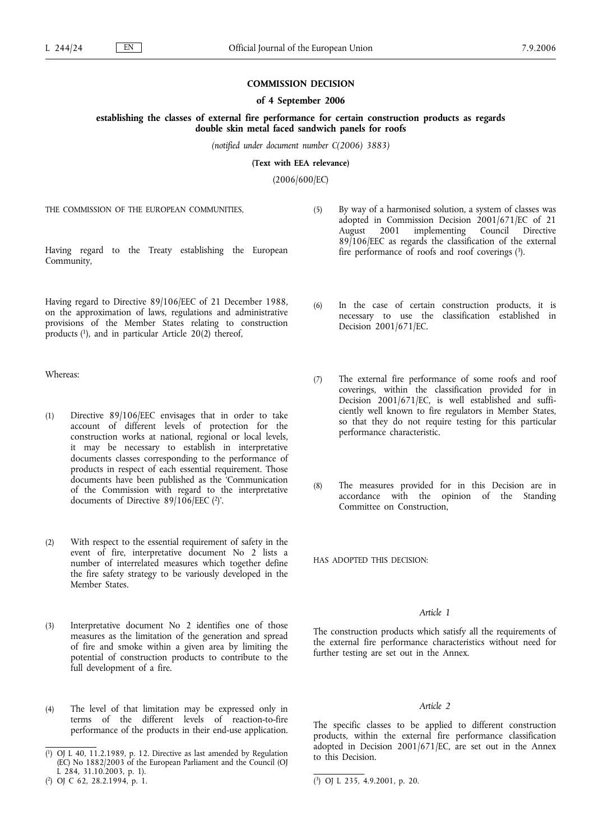### **COMMISSION DECISION**

#### **of 4 September 2006**

**establishing the classes of external fire performance for certain construction products as regards double skin metal faced sandwich panels for roofs**

*(notified under document number C(2006) 3883)*

**(Text with EEA relevance)**

(2006/600/EC)

THE COMMISSION OF THE EUROPEAN COMMUNITIES,

Having regard to the Treaty establishing the European Community,

Having regard to Directive 89/106/EEC of 21 December 1988, on the approximation of laws, regulations and administrative provisions of the Member States relating to construction products (1), and in particular Article 20(2) thereof,

Whereas:

- (1) Directive 89/106/EEC envisages that in order to take account of different levels of protection for the construction works at national, regional or local levels, it may be necessary to establish in interpretative documents classes corresponding to the performance of products in respect of each essential requirement. Those documents have been published as the 'Communication of the Commission with regard to the interpretative documents of Directive 89/106/EEC (2)'.
- (2) With respect to the essential requirement of safety in the event of fire, interpretative document No 2 lists a number of interrelated measures which together define the fire safety strategy to be variously developed in the Member States.
- (3) Interpretative document No 2 identifies one of those measures as the limitation of the generation and spread of fire and smoke within a given area by limiting the potential of construction products to contribute to the full development of a fire.
- (4) The level of that limitation may be expressed only in terms of the different levels of reaction-to-fire performance of the products in their end-use application.
- (5) By way of a harmonised solution, a system of classes was adopted in Commission Decision 2001/671/EC of 21 August 2001 implementing Council Directive 89/106/EEC as regards the classification of the external fire performance of roofs and roof coverings (3).
- (6) In the case of certain construction products, it is necessary to use the classification established in Decision 2001/671/EC.
- (7) The external fire performance of some roofs and roof coverings, within the classification provided for in Decision 2001/671/EC, is well established and sufficiently well known to fire regulators in Member States, so that they do not require testing for this particular performance characteristic.
- (8) The measures provided for in this Decision are in accordance with the opinion of the Standing Committee on Construction,

HAS ADOPTED THIS DECISION:

## *Article 1*

The construction products which satisfy all the requirements of the external fire performance characteristics without need for further testing are set out in the Annex.

## *Article 2*

The specific classes to be applied to different construction products, within the external fire performance classification adopted in Decision 2001/671/EC, are set out in the Annex to this Decision.

<sup>(</sup> 1) OJ L 40, 11.2.1989, p. 12. Directive as last amended by Regulation (EC) No 1882/2003 of the European Parliament and the Council (OJ L 284, 31.10.2003, p. 1).

<sup>(</sup> 2) OJ C 62, 28.2.1994, p. 1. (

<sup>3)</sup> OJ L 235, 4.9.2001, p. 20.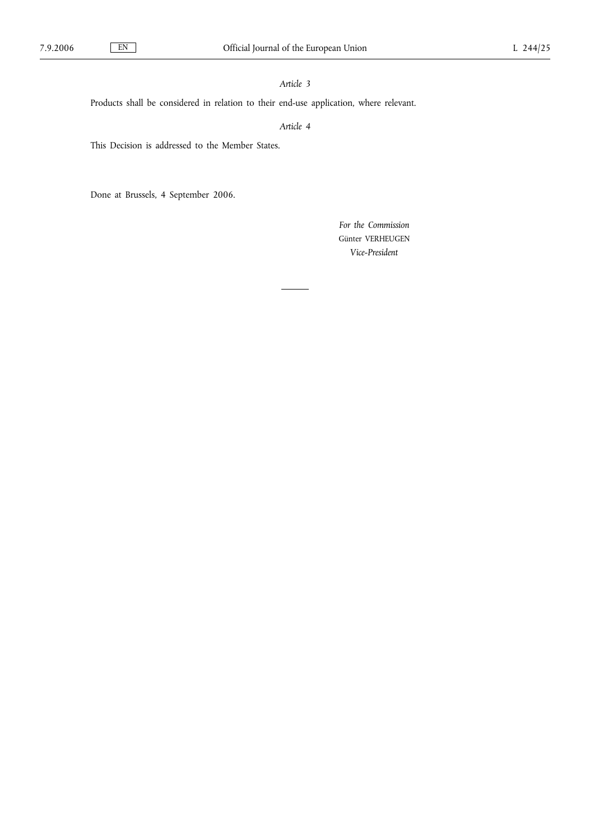## *Article 3*

Products shall be considered in relation to their end-use application, where relevant.

# *Article 4*

This Decision is addressed to the Member States.

Done at Brussels, 4 September 2006.

*For the Commission* Günter VERHEUGEN *Vice-President*